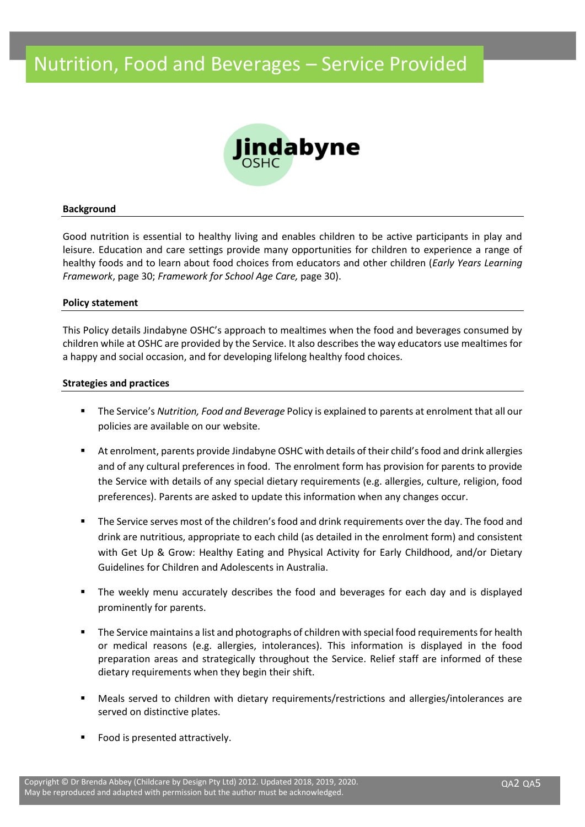# Nutrition, Food and Beverages – Service Provided



#### **Background**

Good nutrition is essential to healthy living and enables children to be active participants in play and leisure. Education and care settings provide many opportunities for children to experience a range of healthy foods and to learn about food choices from educators and other children (*Early Years Learning Framework*, page 30; *Framework for School Age Care,* page 30).

#### **Policy statement**

This Policy details Jindabyne OSHC's approach to mealtimes when the food and beverages consumed by children while at OSHC are provided by the Service. It also describes the way educators use mealtimes for a happy and social occasion, and for developing lifelong healthy food choices.

#### **Strategies and practices**

- The Service's *Nutrition, Food and Beverage* Policy is explained to parents at enrolment that all our policies are available on our website.
- At enrolment, parents provide Jindabyne OSHC with details of their child's food and drink allergies and of any cultural preferences in food. The enrolment form has provision for parents to provide the Service with details of any special dietary requirements (e.g. allergies, culture, religion, food preferences). Parents are asked to update this information when any changes occur.
- The Service serves most of the children's food and drink requirements over the day. The food and drink are nutritious, appropriate to each child (as detailed in the enrolment form) and consistent with Get Up & Grow: Healthy Eating and Physical Activity for Early Childhood, and/or Dietary Guidelines for Children and Adolescents in Australia.
- The weekly menu accurately describes the food and beverages for each day and is displayed prominently for parents.
- The Service maintains a list and photographs of children with special food requirements for health or medical reasons (e.g. allergies, intolerances). This information is displayed in the food preparation areas and strategically throughout the Service. Relief staff are informed of these dietary requirements when they begin their shift.
- Meals served to children with dietary requirements/restrictions and allergies/intolerances are served on distinctive plates.
- Food is presented attractively.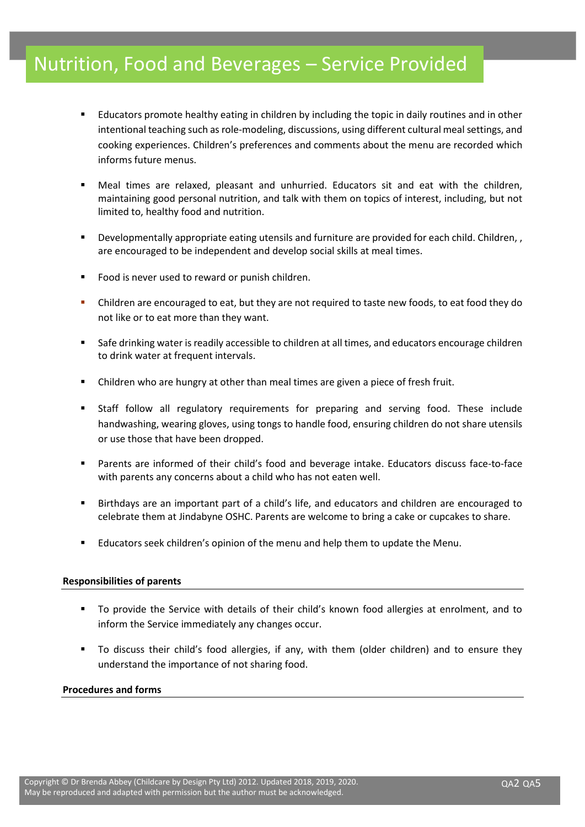# Nutrition, Food and Beverages – Service Provided

- Educators promote healthy eating in children by including the topic in daily routines and in other intentional teaching such as role-modeling, discussions, using different cultural meal settings, and cooking experiences. Children's preferences and comments about the menu are recorded which informs future menus.
- Meal times are relaxed, pleasant and unhurried. Educators sit and eat with the children, maintaining good personal nutrition, and talk with them on topics of interest, including, but not limited to, healthy food and nutrition.
- Developmentally appropriate eating utensils and furniture are provided for each child. Children, , are encouraged to be independent and develop social skills at meal times.
- Food is never used to reward or punish children.
- Children are encouraged to eat, but they are not required to taste new foods, to eat food they do not like or to eat more than they want.
- Safe drinking water is readily accessible to children at all times, and educators encourage children to drink water at frequent intervals.
- Children who are hungry at other than meal times are given a piece of fresh fruit.
- Staff follow all regulatory requirements for preparing and serving food. These include handwashing, wearing gloves, using tongs to handle food, ensuring children do not share utensils or use those that have been dropped.
- Parents are informed of their child's food and beverage intake. Educators discuss face-to-face with parents any concerns about a child who has not eaten well.
- Birthdays are an important part of a child's life, and educators and children are encouraged to celebrate them at Jindabyne OSHC. Parents are welcome to bring a cake or cupcakes to share.
- Educators seek children's opinion of the menu and help them to update the Menu.

## **Responsibilities of parents**

- To provide the Service with details of their child's known food allergies at enrolment, and to inform the Service immediately any changes occur.
- To discuss their child's food allergies, if any, with them (older children) and to ensure they understand the importance of not sharing food.

### **Procedures and forms**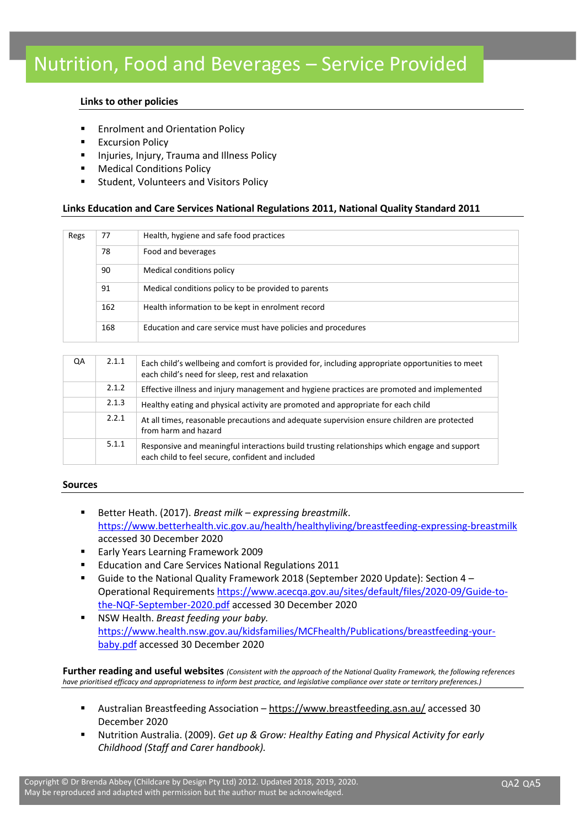## **Links to other policies**

- Enrolment and Orientation Policy
- Excursion Policy
- Injuries, Injury, Trauma and Illness Policy
- **Medical Conditions Policy**
- Student, Volunteers and Visitors Policy

## **Links Education and Care Services National Regulations 2011, National Quality Standard 2011**

| Regs | 77  | Health, hygiene and safe food practices                      |
|------|-----|--------------------------------------------------------------|
|      | 78  | Food and beverages                                           |
|      | 90  | Medical conditions policy                                    |
|      | 91  | Medical conditions policy to be provided to parents          |
|      | 162 | Health information to be kept in enrolment record            |
|      | 168 | Education and care service must have policies and procedures |

| QA | 2.1.1 | Each child's wellbeing and comfort is provided for, including appropriate opportunities to meet<br>each child's need for sleep, rest and relaxation |
|----|-------|-----------------------------------------------------------------------------------------------------------------------------------------------------|
|    | 2.1.2 | Effective illness and injury management and hygiene practices are promoted and implemented                                                          |
|    | 2.1.3 | Healthy eating and physical activity are promoted and appropriate for each child                                                                    |
|    | 2.2.1 | At all times, reasonable precautions and adequate supervision ensure children are protected<br>from harm and hazard                                 |
|    | 5.1.1 | Responsive and meaningful interactions build trusting relationships which engage and support<br>each child to feel secure, confident and included   |

### **Sources**

- Better Heath. (2017). *Breast milk expressing breastmilk*. <https://www.betterhealth.vic.gov.au/health/healthyliving/breastfeeding-expressing-breastmilk> accessed 30 December 2020
- **Early Years Learning Framework 2009**
- Education and Care Services National Regulations 2011
- Guide to the National Quality Framework 2018 (September 2020 Update): Section  $4 -$ Operational Requirements [https://www.acecqa.gov.au/sites/default/files/2020-09/Guide-to](https://www.acecqa.gov.au/sites/default/files/2020-09/Guide-to-the-NQF-September-2020.pdf)[the-NQF-September-2020.pdf](https://www.acecqa.gov.au/sites/default/files/2020-09/Guide-to-the-NQF-September-2020.pdf) accessed 30 December 2020
- **NSW Health. Breast feeding your baby.** [https://www.health.nsw.gov.au/kidsfamilies/MCFhealth/Publications/breastfeeding-your](https://www.health.nsw.gov.au/kidsfamilies/MCFhealth/Publications/breastfeeding-your-baby.pdf)[baby.pdf](https://www.health.nsw.gov.au/kidsfamilies/MCFhealth/Publications/breastfeeding-your-baby.pdf) accessed 30 December 2020

**Further reading and useful websites** *(Consistent with the approach of the National Quality Framework, the following references have prioritised efficacy and appropriateness to inform best practice, and legislative compliance over state or territory preferences.)*

- Australian Breastfeeding Association <https://www.breastfeeding.asn.au/> accessed 30 December 2020
- Nutrition Australia. (2009). *Get up & Grow: Healthy Eating and Physical Activity for early Childhood (Staff and Carer handbook).*